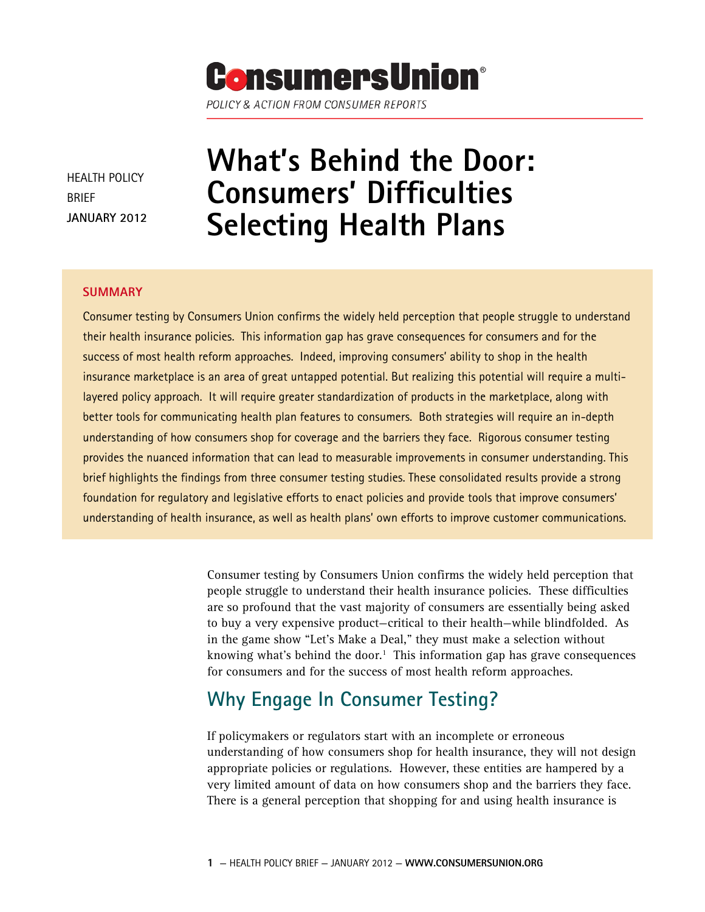

HEALTH POLICY BRIEF **JANUARY 2012** 

# **What's Behind the Door: Consumers' Difficulties Selecting Health Plans**

#### **SUMMARY**

Consumer testing by Consumers Union confirms the widely held perception that people struggle to understand their health insurance policies. This information gap has grave consequences for consumers and for the success of most health reform approaches. Indeed, improving consumers' ability to shop in the health insurance marketplace is an area of great untapped potential. But realizing this potential will require a multilayered policy approach. It will require greater standardization of products in the marketplace, along with better tools for communicating health plan features to consumers. Both strategies will require an in-depth understanding of how consumers shop for coverage and the barriers they face. Rigorous consumer testing provides the nuanced information that can lead to measurable improvements in consumer understanding. This brief highlights the findings from three consumer testing studies. These consolidated results provide a strong foundation for regulatory and legislative efforts to enact policies and provide tools that improve consumers' understanding of health insurance, as well as health plans' own efforts to improve customer communications.

> Consumer testing by Consumers Union confirms the widely held perception that people struggle to understand their health insurance policies. These difficulties are so profound that the vast majority of consumers are essentially being asked to buy a very expensive product—critical to their health—while blindfolded. As in the game show "Let's Make a Deal," they must make a selection without knowing what's behind the door.<sup>1</sup> This information gap has grave consequences for consumers and for the success of most health reform approaches.

### **Why Engage In Consumer Testing?**

If policymakers or regulators start with an incomplete or erroneous understanding of how consumers shop for health insurance, they will not design appropriate policies or regulations. However, these entities are hampered by a very limited amount of data on how consumers shop and the barriers they face. There is a general perception that shopping for and using health insurance is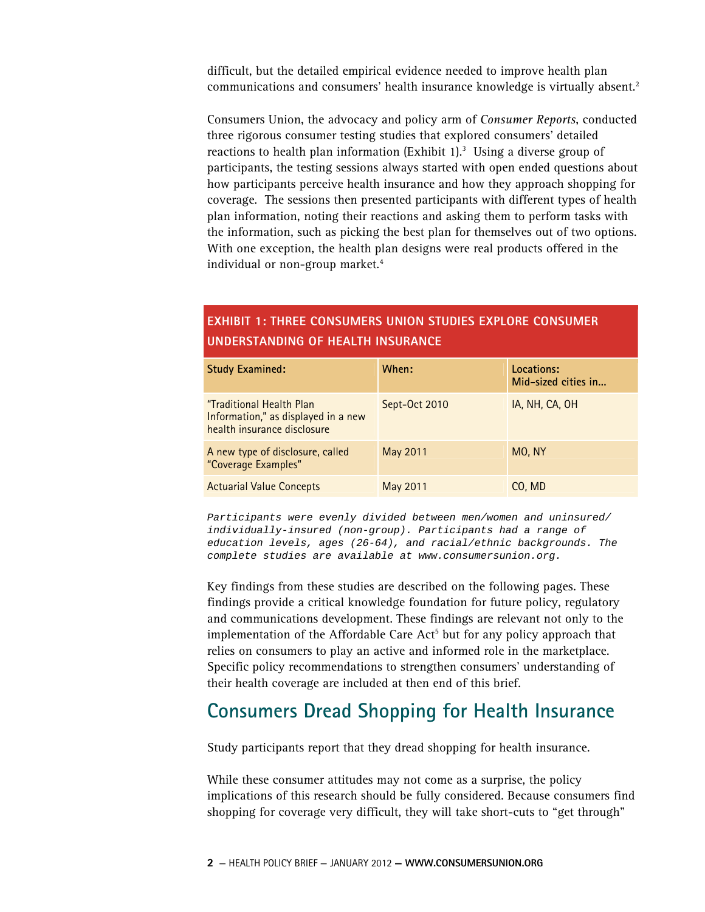difficult, but the detailed empirical evidence needed to improve health plan communications and consumers' health insurance knowledge is virtually absent.<sup>2</sup>

Consumers Union, the advocacy and policy arm of *Consumer Reports*, conducted three rigorous consumer testing studies that explored consumers' detailed reactions to health plan information (Exhibit 1).<sup>3</sup> Using a diverse group of participants, the testing sessions always started with open ended questions about how participants perceive health insurance and how they approach shopping for coverage. The sessions then presented participants with different types of health plan information, noting their reactions and asking them to perform tasks with the information, such as picking the best plan for themselves out of two options. With one exception, the health plan designs were real products offered in the individual or non-group market.<sup>4</sup>

### **EXHIBIT 1: THREE CONSUMERS UNION STUDIES EXPLORE CONSUMER UNDERSTANDING OF HEALTH INSURANCE**

| <b>Study Examined:</b>                                                                         | When:           | Locations:<br>Mid-sized cities in |
|------------------------------------------------------------------------------------------------|-----------------|-----------------------------------|
| "Traditional Health Plan<br>Information," as displayed in a new<br>health insurance disclosure | Sept-Oct 2010   | IA, NH, CA, OH                    |
| A new type of disclosure, called<br>"Coverage Examples"                                        | <b>May 2011</b> | MO, NY                            |
| <b>Actuarial Value Concepts</b>                                                                | May 2011        | CO, MD                            |

*Participants were evenly divided between men/women and uninsured/ individually-insured (non-group). Participants had a range of education levels, ages (26-64), and racial/ethnic backgrounds. The complete studies are available at www.consumersunion.org.* 

Key findings from these studies are described on the following pages. These findings provide a critical knowledge foundation for future policy, regulatory and communications development. These findings are relevant not only to the implementation of the Affordable Care Act<sup>5</sup> but for any policy approach that relies on consumers to play an active and informed role in the marketplace. Specific policy recommendations to strengthen consumers' understanding of their health coverage are included at then end of this brief.

### **Consumers Dread Shopping for Health Insurance**

Study participants report that they dread shopping for health insurance.

While these consumer attitudes may not come as a surprise, the policy implications of this research should be fully considered. Because consumers find shopping for coverage very difficult, they will take short-cuts to "get through"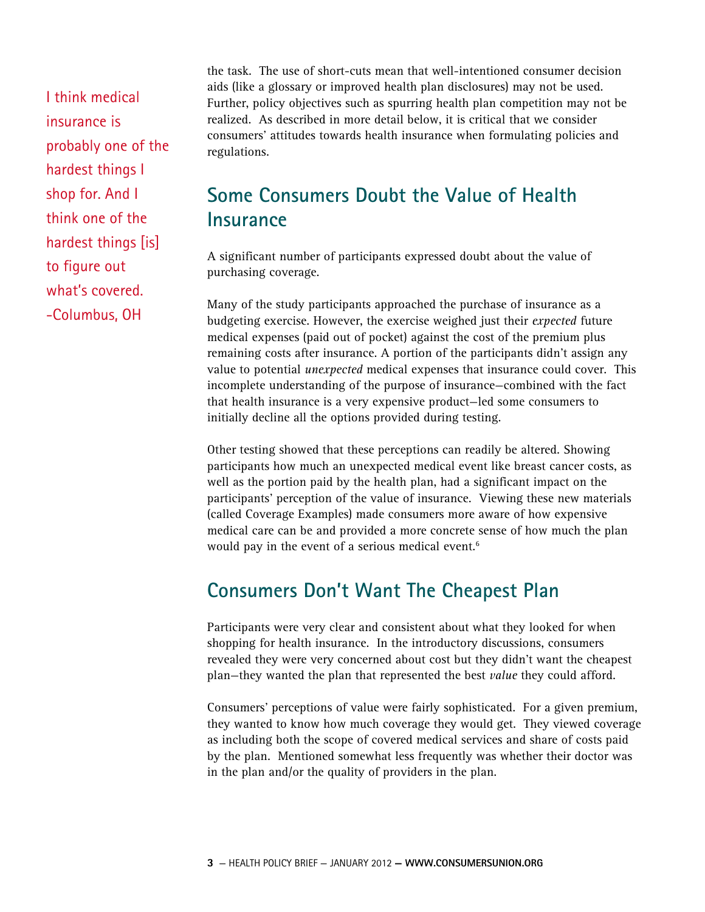I think medical insurance is probably one of the hardest things I shop for. And I think one of the hardest things [is] to figure out what's covered. -Columbus, OH

the task. The use of short-cuts mean that well-intentioned consumer decision aids (like a glossary or improved health plan disclosures) may not be used. Further, policy objectives such as spurring health plan competition may not be realized. As described in more detail below, it is critical that we consider consumers' attitudes towards health insurance when formulating policies and regulations.

# **Some Consumers Doubt the Value of Health Insurance**

A significant number of participants expressed doubt about the value of purchasing coverage.

Many of the study participants approached the purchase of insurance as a budgeting exercise. However, the exercise weighed just their *expected* future medical expenses (paid out of pocket) against the cost of the premium plus remaining costs after insurance. A portion of the participants didn't assign any value to potential *unexpected* medical expenses that insurance could cover. This incomplete understanding of the purpose of insurance—combined with the fact that health insurance is a very expensive product—led some consumers to initially decline all the options provided during testing.

Other testing showed that these perceptions can readily be altered. Showing participants how much an unexpected medical event like breast cancer costs, as well as the portion paid by the health plan, had a significant impact on the participants' perception of the value of insurance. Viewing these new materials (called Coverage Examples) made consumers more aware of how expensive medical care can be and provided a more concrete sense of how much the plan would pay in the event of a serious medical event.<sup>6</sup>

### **Consumers Don't Want The Cheapest Plan**

Participants were very clear and consistent about what they looked for when shopping for health insurance. In the introductory discussions, consumers revealed they were very concerned about cost but they didn't want the cheapest plan—they wanted the plan that represented the best *value* they could afford.

Consumers' perceptions of value were fairly sophisticated. For a given premium, they wanted to know how much coverage they would get. They viewed coverage as including both the scope of covered medical services and share of costs paid by the plan. Mentioned somewhat less frequently was whether their doctor was in the plan and/or the quality of providers in the plan.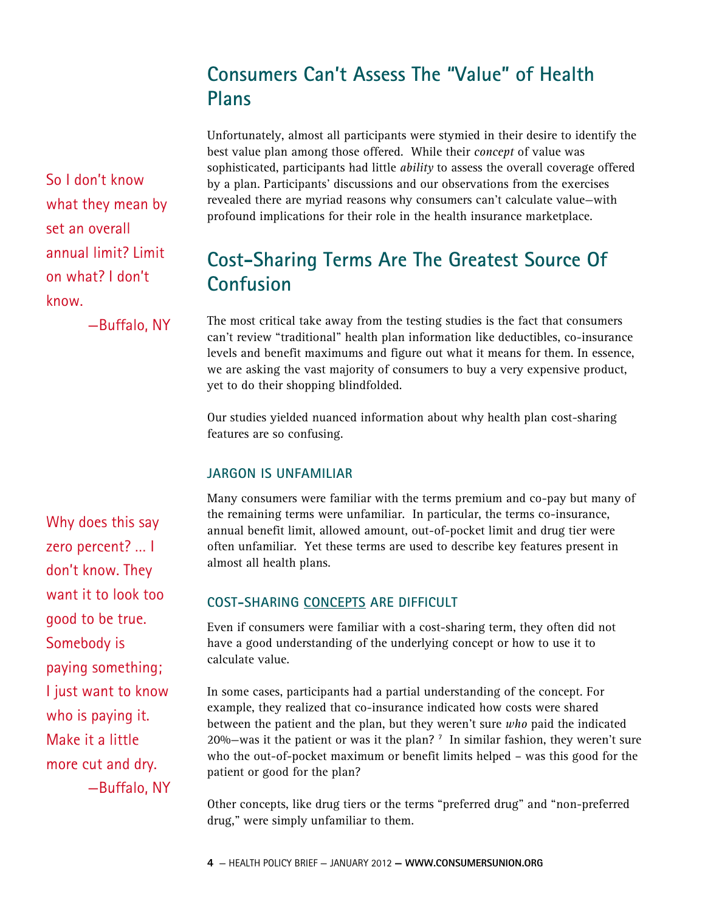# **Consumers Can't Assess The "Value" of Health Plans**

Unfortunately, almost all participants were stymied in their desire to identify the best value plan among those offered. While their *concept* of value was sophisticated, participants had little *ability* to assess the overall coverage offered by a plan. Participants' discussions and our observations from the exercises revealed there are myriad reasons why consumers can't calculate value—with profound implications for their role in the health insurance marketplace.

## **Cost-Sharing Terms Are The Greatest Source Of Confusion**

The most critical take away from the testing studies is the fact that consumers can't review "traditional" health plan information like deductibles, co-insurance levels and benefit maximums and figure out what it means for them. In essence, we are asking the vast majority of consumers to buy a very expensive product, yet to do their shopping blindfolded.

Our studies yielded nuanced information about why health plan cost-sharing features are so confusing.

### **JARGON IS UNFAMILIAR**

Many consumers were familiar with the terms premium and co-pay but many of the remaining terms were unfamiliar. In particular, the terms co-insurance, annual benefit limit, allowed amount, out-of-pocket limit and drug tier were often unfamiliar. Yet these terms are used to describe key features present in almost all health plans.

### **COST-SHARING CONCEPTS ARE DIFFICULT**

Even if consumers were familiar with a cost-sharing term, they often did not have a good understanding of the underlying concept or how to use it to calculate value.

In some cases, participants had a partial understanding of the concept. For example, they realized that co-insurance indicated how costs were shared between the patient and the plan, but they weren't sure *who* paid the indicated 20%—was it the patient or was it the plan?  $<sup>7</sup>$  In similar fashion, they weren't sure</sup> who the out-of-pocket maximum or benefit limits helped – was this good for the patient or good for the plan?

Other concepts, like drug tiers or the terms "preferred drug" and "non-preferred drug," were simply unfamiliar to them.

So I don't know what they mean by set an overall annual limit? Limit on what? I don't know.

—Buffalo, NY

Why does this say zero percent? … I don't know. They want it to look too good to be true. Somebody is paying something; I just want to know who is paying it. Make it a little more cut and dry. —Buffalo, NY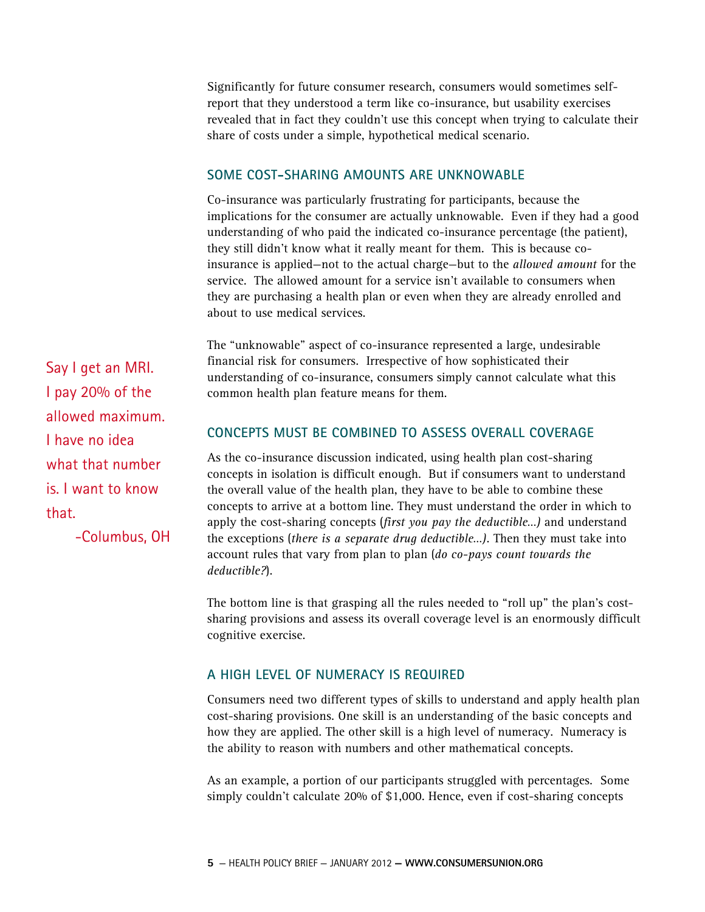Significantly for future consumer research, consumers would sometimes selfreport that they understood a term like co-insurance, but usability exercises revealed that in fact they couldn't use this concept when trying to calculate their share of costs under a simple, hypothetical medical scenario.

### **SOME COST-SHARING AMOUNTS ARE UNKNOWABLE**

Co-insurance was particularly frustrating for participants, because the implications for the consumer are actually unknowable. Even if they had a good understanding of who paid the indicated co-insurance percentage (the patient), they still didn't know what it really meant for them. This is because coinsurance is applied—not to the actual charge—but to the *allowed amount* for the service. The allowed amount for a service isn't available to consumers when they are purchasing a health plan or even when they are already enrolled and about to use medical services.

The "unknowable" aspect of co-insurance represented a large, undesirable financial risk for consumers. Irrespective of how sophisticated their understanding of co-insurance, consumers simply cannot calculate what this common health plan feature means for them.

### **CONCEPTS MUST BE COMBINED TO ASSESS OVERALL COVERAGE**

As the co-insurance discussion indicated, using health plan cost-sharing concepts in isolation is difficult enough. But if consumers want to understand the overall value of the health plan, they have to be able to combine these concepts to arrive at a bottom line. They must understand the order in which to apply the cost-sharing concepts (*first you pay the deductible…)* and understand the exceptions (*there is a separate drug deductible…).* Then they must take into account rules that vary from plan to plan (*do co-pays count towards the deductible?*).

The bottom line is that grasping all the rules needed to "roll up" the plan's costsharing provisions and assess its overall coverage level is an enormously difficult cognitive exercise.

#### **A HIGH LEVEL OF NUMERACY IS REQUIRED**

Consumers need two different types of skills to understand and apply health plan cost-sharing provisions. One skill is an understanding of the basic concepts and how they are applied. The other skill is a high level of numeracy. Numeracy is the ability to reason with numbers and other mathematical concepts.

As an example, a portion of our participants struggled with percentages. Some simply couldn't calculate 20% of \$1,000. Hence, even if cost-sharing concepts

Say I get an MRI. I pay 20% of the allowed maximum. I have no idea what that number is. I want to know that.

-Columbus, OH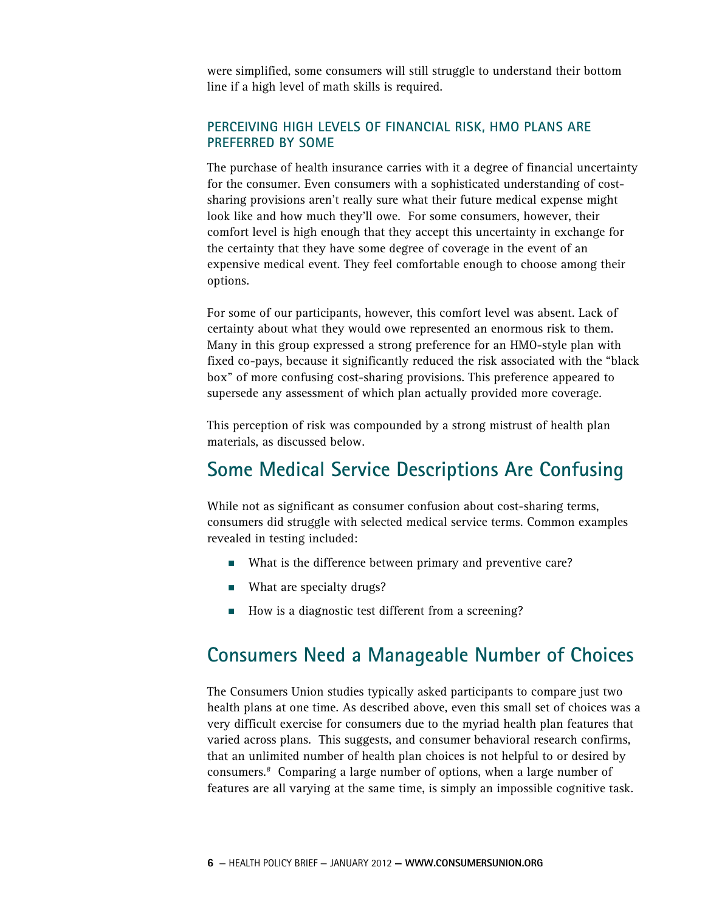were simplified, some consumers will still struggle to understand their bottom line if a high level of math skills is required.

### **PERCEIVING HIGH LEVELS OF FINANCIAL RISK, HMO PLANS ARE PREFERRED BY SOME**

The purchase of health insurance carries with it a degree of financial uncertainty for the consumer. Even consumers with a sophisticated understanding of costsharing provisions aren't really sure what their future medical expense might look like and how much they'll owe. For some consumers, however, their comfort level is high enough that they accept this uncertainty in exchange for the certainty that they have some degree of coverage in the event of an expensive medical event. They feel comfortable enough to choose among their options.

For some of our participants, however, this comfort level was absent. Lack of certainty about what they would owe represented an enormous risk to them. Many in this group expressed a strong preference for an HMO-style plan with fixed co-pays, because it significantly reduced the risk associated with the "black box" of more confusing cost-sharing provisions. This preference appeared to supersede any assessment of which plan actually provided more coverage.

This perception of risk was compounded by a strong mistrust of health plan materials, as discussed below.

### **Some Medical Service Descriptions Are Confusing**

While not as significant as consumer confusion about cost-sharing terms, consumers did struggle with selected medical service terms. Common examples revealed in testing included:

- What is the difference between primary and preventive care?
- **Next** What are specialty drugs?
- How is a diagnostic test different from a screening?

### **Consumers Need a Manageable Number of Choices**

The Consumers Union studies typically asked participants to compare just two health plans at one time. As described above, even this small set of choices was a very difficult exercise for consumers due to the myriad health plan features that varied across plans. This suggests, and consumer behavioral research confirms, that an unlimited number of health plan choices is not helpful to or desired by consumers.*<sup>8</sup>* Comparing a large number of options, when a large number of features are all varying at the same time, is simply an impossible cognitive task.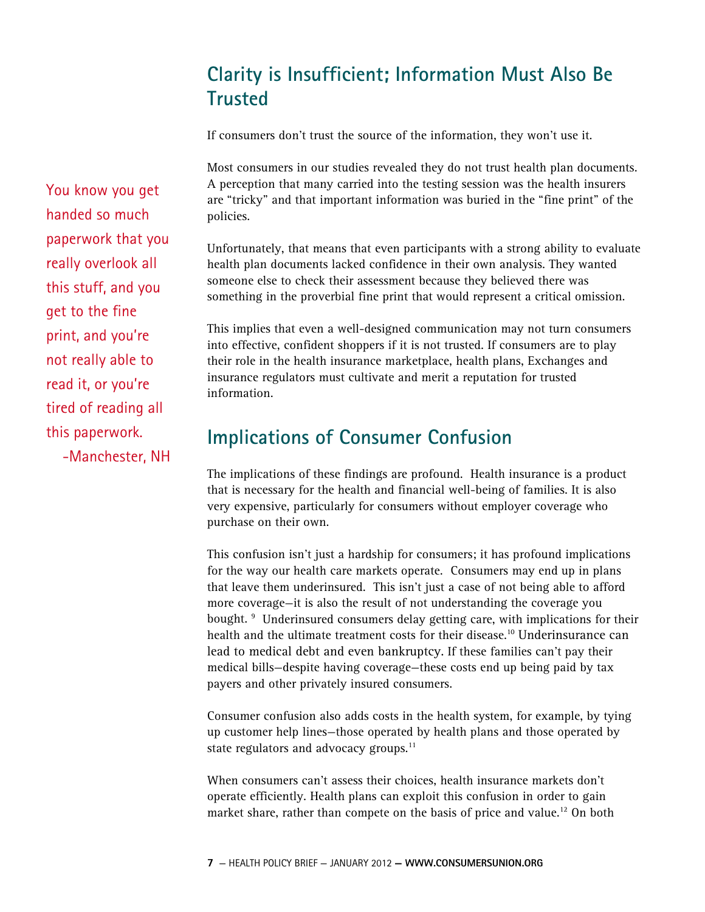# **Clarity is Insufficient; Information Must Also Be Trusted**

If consumers don't trust the source of the information, they won't use it.

Most consumers in our studies revealed they do not trust health plan documents. A perception that many carried into the testing session was the health insurers are "tricky" and that important information was buried in the "fine print" of the policies.

Unfortunately, that means that even participants with a strong ability to evaluate health plan documents lacked confidence in their own analysis. They wanted someone else to check their assessment because they believed there was something in the proverbial fine print that would represent a critical omission.

This implies that even a well-designed communication may not turn consumers into effective, confident shoppers if it is not trusted. If consumers are to play their role in the health insurance marketplace, health plans, Exchanges and insurance regulators must cultivate and merit a reputation for trusted information.

### **Implications of Consumer Confusion**

The implications of these findings are profound. Health insurance is a product that is necessary for the health and financial well-being of families. It is also very expensive, particularly for consumers without employer coverage who purchase on their own.

This confusion isn't just a hardship for consumers; it has profound implications for the way our health care markets operate. Consumers may end up in plans that leave them underinsured. This isn't just a case of not being able to afford more coverage—it is also the result of not understanding the coverage you bought.<sup>9</sup> Underinsured consumers delay getting care, with implications for their health and the ultimate treatment costs for their disease.<sup>10</sup> Underinsurance can lead to medical debt and even bankruptcy. If these families can't pay their medical bills—despite having coverage—these costs end up being paid by tax payers and other privately insured consumers.

Consumer confusion also adds costs in the health system, for example, by tying up customer help lines—those operated by health plans and those operated by state regulators and advocacy groups. $11$ 

When consumers can't assess their choices, health insurance markets don't operate efficiently. Health plans can exploit this confusion in order to gain market share, rather than compete on the basis of price and value.<sup>12</sup> On both

You know you get handed so much paperwork that you really overlook all this stuff, and you get to the fine print, and you're not really able to read it, or you're tired of reading all this paperwork. -Manchester, NH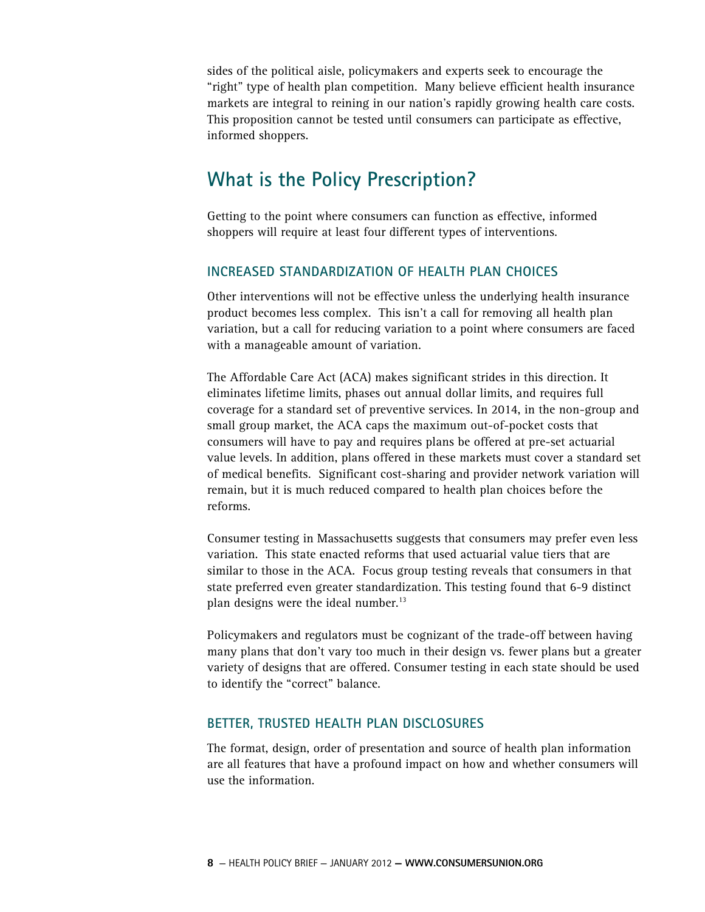sides of the political aisle, policymakers and experts seek to encourage the "right" type of health plan competition. Many believe efficient health insurance markets are integral to reining in our nation's rapidly growing health care costs. This proposition cannot be tested until consumers can participate as effective, informed shoppers.

### **What is the Policy Prescription?**

Getting to the point where consumers can function as effective, informed shoppers will require at least four different types of interventions.

### **INCREASED STANDARDIZATION OF HEALTH PLAN CHOICES**

Other interventions will not be effective unless the underlying health insurance product becomes less complex. This isn't a call for removing all health plan variation, but a call for reducing variation to a point where consumers are faced with a manageable amount of variation.

The Affordable Care Act (ACA) makes significant strides in this direction. It eliminates lifetime limits, phases out annual dollar limits, and requires full coverage for a standard set of preventive services. In 2014, in the non-group and small group market, the ACA caps the maximum out-of-pocket costs that consumers will have to pay and requires plans be offered at pre-set actuarial value levels. In addition, plans offered in these markets must cover a standard set of medical benefits. Significant cost-sharing and provider network variation will remain, but it is much reduced compared to health plan choices before the reforms.

Consumer testing in Massachusetts suggests that consumers may prefer even less variation. This state enacted reforms that used actuarial value tiers that are similar to those in the ACA. Focus group testing reveals that consumers in that state preferred even greater standardization. This testing found that 6-9 distinct plan designs were the ideal number.<sup>13</sup>

Policymakers and regulators must be cognizant of the trade-off between having many plans that don't vary too much in their design vs. fewer plans but a greater variety of designs that are offered. Consumer testing in each state should be used to identify the "correct" balance.

#### **BETTER, TRUSTED HEALTH PLAN DISCLOSURES**

The format, design, order of presentation and source of health plan information are all features that have a profound impact on how and whether consumers will use the information.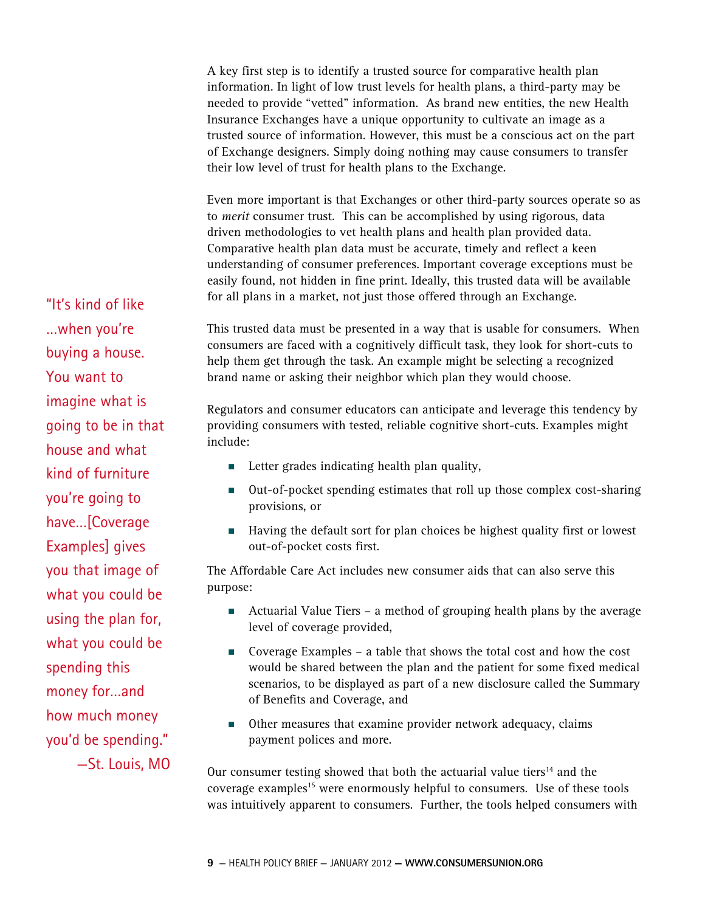A key first step is to identify a trusted source for comparative health plan information. In light of low trust levels for health plans, a third-party may be needed to provide "vetted" information. As brand new entities, the new Health Insurance Exchanges have a unique opportunity to cultivate an image as a trusted source of information. However, this must be a conscious act on the part of Exchange designers. Simply doing nothing may cause consumers to transfer their low level of trust for health plans to the Exchange.

Even more important is that Exchanges or other third-party sources operate so as to *merit* consumer trust. This can be accomplished by using rigorous, data driven methodologies to vet health plans and health plan provided data. Comparative health plan data must be accurate, timely and reflect a keen understanding of consumer preferences. Important coverage exceptions must be easily found, not hidden in fine print. Ideally, this trusted data will be available for all plans in a market, not just those offered through an Exchange.

This trusted data must be presented in a way that is usable for consumers. When consumers are faced with a cognitively difficult task, they look for short-cuts to help them get through the task. An example might be selecting a recognized brand name or asking their neighbor which plan they would choose.

Regulators and consumer educators can anticipate and leverage this tendency by providing consumers with tested, reliable cognitive short-cuts. Examples might include:

- Letter grades indicating health plan quality,
- Out-of-pocket spending estimates that roll up those complex cost-sharing provisions, or
- Having the default sort for plan choices be highest quality first or lowest out-of-pocket costs first.

The Affordable Care Act includes new consumer aids that can also serve this purpose:

- Actuarial Value Tiers a method of grouping health plans by the average level of coverage provided,
- Coverage Examples a table that shows the total cost and how the cost would be shared between the plan and the patient for some fixed medical scenarios, to be displayed as part of a new disclosure called the Summary of Benefits and Coverage, and
- Other measures that examine provider network adequacy, claims payment polices and more.

Our consumer testing showed that both the actuarial value tiers $14$  and the coverage examples<sup>15</sup> were enormously helpful to consumers. Use of these tools was intuitively apparent to consumers. Further, the tools helped consumers with

"It's kind of like …when you're buying a house. You want to imagine what is going to be in that house and what kind of furniture you're going to have…[Coverage Examples] gives you that image of what you could be using the plan for, what you could be spending this money for…and how much money you'd be spending." —St. Louis, MO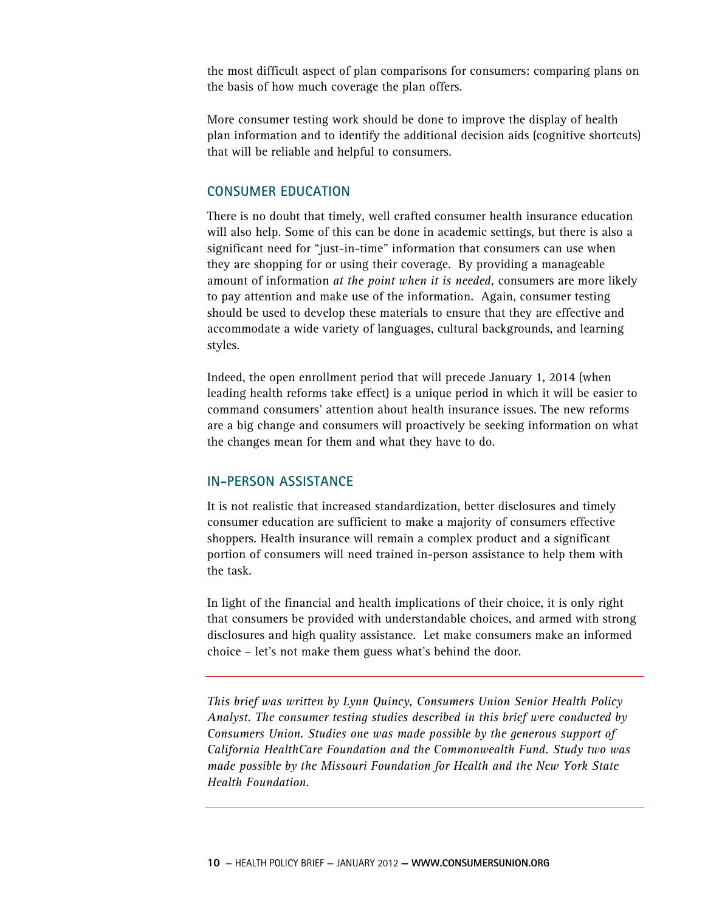the most difficult aspect of plan comparisons for consumers: comparing plans on the basis of how much coverage the plan offers.

More consumer testing work should be done to improve the display of health plan information and to identify the additional decision aids (cognitive shortcuts) that will be reliable and helpful to consumers.

#### **CONSUMER EDUCATION**

There is no doubt that timely, well crafted consumer health insurance education will also help. Some of this can be done in academic settings, but there is also a significant need for "just-in-time" information that consumers can use when they are shopping for or using their coverage. By providing a manageable amount of information *at the point when it is needed,* consumers are more likely to pay attention and make use of the information. Again, consumer testing should be used to develop these materials to ensure that they are effective and accommodate a wide variety of languages, cultural backgrounds, and learning styles.

Indeed, the open enrollment period that will precede January 1, 2014 (when leading health reforms take effect) is a unique period in which it will be easier to command consumers' attention about health insurance issues. The new reforms are a big change and consumers will proactively be seeking information on what the changes mean for them and what they have to do.

#### **IN-PERSON ASSISTANCE**

It is not realistic that increased standardization, better disclosures and timely consumer education are sufficient to make a majority of consumers effective shoppers. Health insurance will remain a complex product and a significant portion of consumers will need trained in-person assistance to help them with the task.

In light of the financial and health implications of their choice, it is only right that consumers be provided with understandable choices, and armed with strong disclosures and high quality assistance. Let make consumers make an informed choice – let's not make them guess what's behind the door.

*This brief was written by Lynn Quincy, Consumers Union Senior Health Policy Analyst. The consumer testing studies described in this brief were conducted by Consumers Union. Studies one was made possible by the generous support of California HealthCare Foundation and the Commonwealth Fund. Study two was made possible by the Missouri Foundation for Health and the New York State Health Foundation.*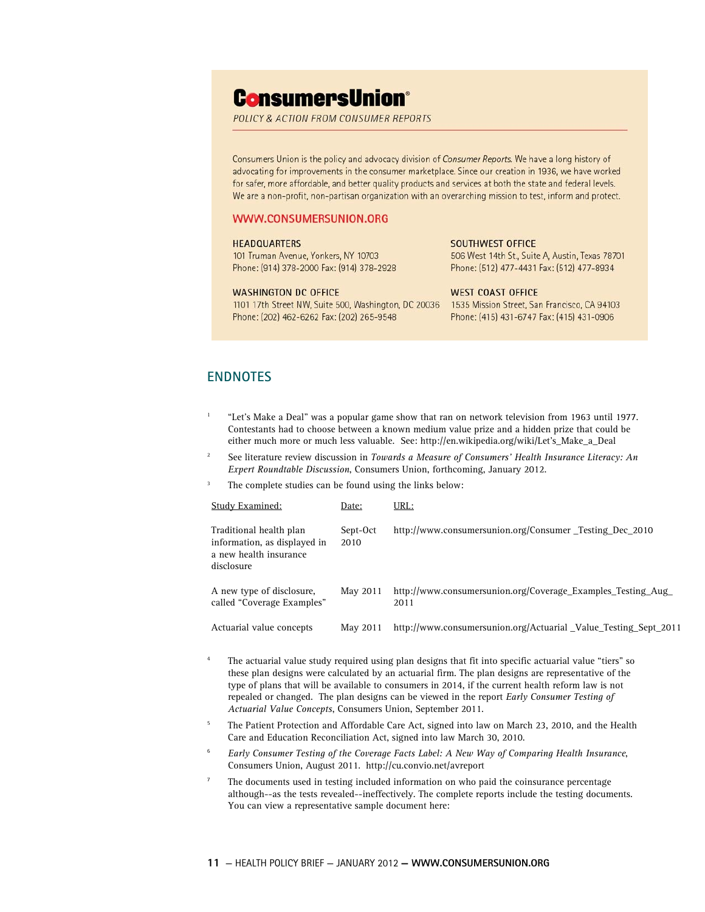# **ConsumersUnion\***

POLICY & ACTION FROM CONSUMER REPORTS

Consumers Union is the policy and advocacy division of Consumer Reports. We have a long history of advocating for improvements in the consumer marketplace. Since our creation in 1936, we have worked for safer, more affordable, and better quality products and services at both the state and federal levels. We are a non-profit, non-partisan organization with an overarching mission to test, inform and protect.

#### WWW.CONSUMERSUNION.ORG

#### **HEADQUARTERS**

101 Truman Avenue, Yonkers, NY 10703 Phone: (914) 378-2000 Fax: (914) 378-2928

#### **WASHINGTON DC OFFICE**

1101 17th Street NW, Suite 500, Washington, DC 20036 Phone: (202) 462-6262 Fax: (202) 265-9548

#### **SOUTHWEST OFFICE**

506 West 14th St., Suite A, Austin, Texas 78701 Phone: (512) 477-4431 Fax: (512) 477-8934

#### **WEST COAST OFFICE**

1535 Mission Street, San Francisco, CA 94103 Phone: (415) 431-6747 Fax: (415) 431-0906

#### **ENDNOTES**

- 1 "Let's Make a Deal" was a popular game show that ran on network television from 1963 until 1977. Contestants had to choose between a known medium value prize and a hidden prize that could be either much more or much less valuable. See: http://en.wikipedia.org/wiki/Let's\_Make\_a\_Deal
- 2 See literature review discussion in *Towards a Measure of Consumers' Health Insurance Literacy: An Expert Roundtable Discussion*, Consumers Union, forthcoming, January 2012.
- 3 The complete studies can be found using the links below:

| Study Examined:                                                                                 | Date:            | URL:                                                                 |
|-------------------------------------------------------------------------------------------------|------------------|----------------------------------------------------------------------|
| Traditional health plan<br>information, as displayed in<br>a new health insurance<br>disclosure | Sept-Oct<br>2010 | http://www.consumersunion.org/Consumer Testing Dec 2010              |
| A new type of disclosure,<br>called "Coverage Examples"                                         | May 2011         | http://www.consumersunion.org/Coverage_Examples_Testing_Aug_<br>2011 |
| Actuarial value concepts                                                                        | May 2011         | http://www.consumersunion.org/Actuarial _Value_Testing_Sept_2011     |

- 4 The actuarial value study required using plan designs that fit into specific actuarial value "tiers" so these plan designs were calculated by an actuarial firm. The plan designs are representative of the type of plans that will be available to consumers in 2014, if the current health reform law is not repealed or changed. The plan designs can be viewed in the report *Early Consumer Testing of Actuarial Value Concepts*, Consumers Union, September 2011.
- 5 The Patient Protection and Affordable Care Act, signed into law on March 23, 2010, and the Health Care and Education Reconciliation Act, signed into law March 30, 2010.
- 6 *Early Consumer Testing of the Coverage Facts Label: A New Way of Comparing Health Insurance*, Consumers Union, August 2011. http://cu.convio.net/avreport
- 7 The documents used in testing included information on who paid the coinsurance percentage although--as the tests revealed--ineffectively. The complete reports include the testing documents. You can view a representative sample document here: